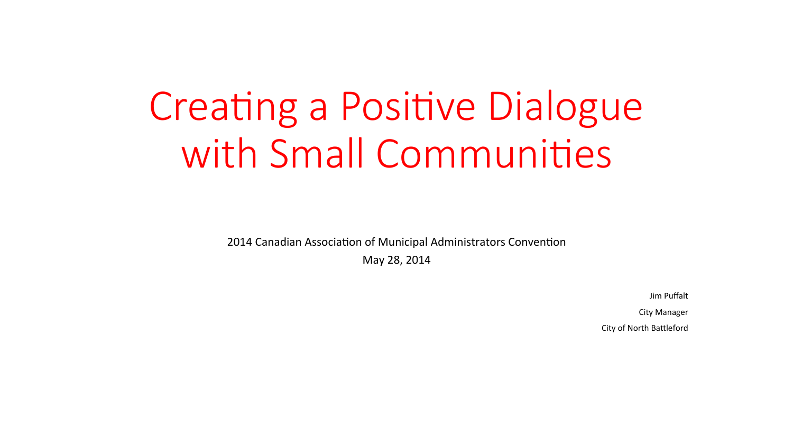# **Creating a Positive Dialogue** with Small Communities

2014 Canadian Association of Municipal Administrators Convention

May 28, 2014

Jim Puffalt

**City Manager** 

City of North Battleford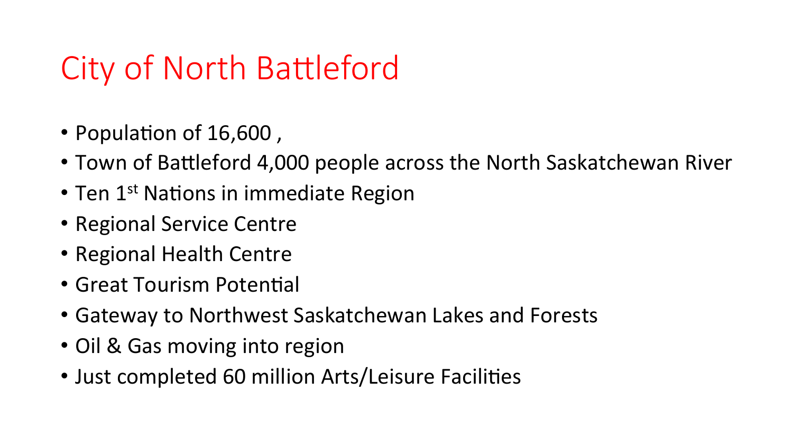## City of North Battleford

- Population of 16,600,
- Town of Battleford 4,000 people across the North Saskatchewan River
- Ten  $1<sup>st</sup>$  Nations in immediate Region
- Regional Service Centre
- Regional Health Centre
- Great Tourism Potential
- Gateway to Northwest Saskatchewan Lakes and Forests
- Oil & Gas moving into region
- Just completed 60 million Arts/Leisure Facilities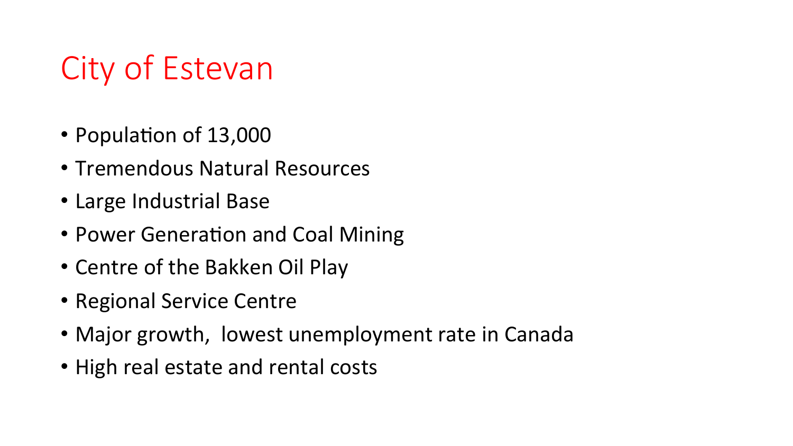## City of Estevan

- Population of 13,000
- Tremendous Natural Resources
- Large Industrial Base
- Power Generation and Coal Mining
- Centre of the Bakken Oil Play
- Regional Service Centre
- Major growth, lowest unemployment rate in Canada
- High real estate and rental costs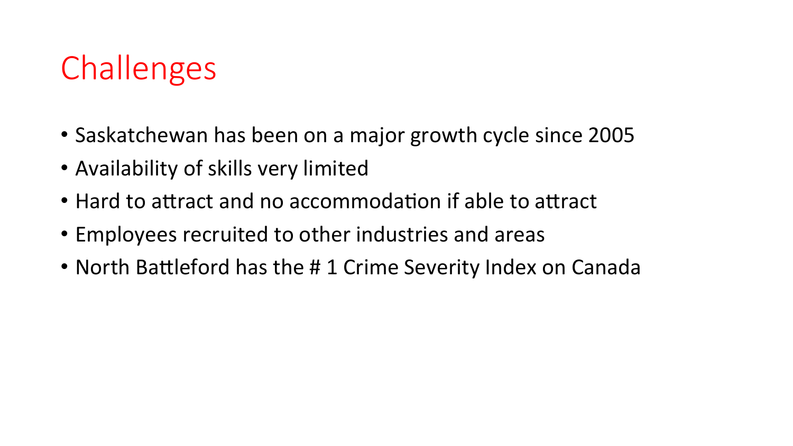## **Challenges**

- Saskatchewan has been on a major growth cycle since 2005
- Availability of skills very limited
- Hard to attract and no accommodation if able to attract
- Employees recruited to other industries and areas
- North Battleford has the #1 Crime Severity Index on Canada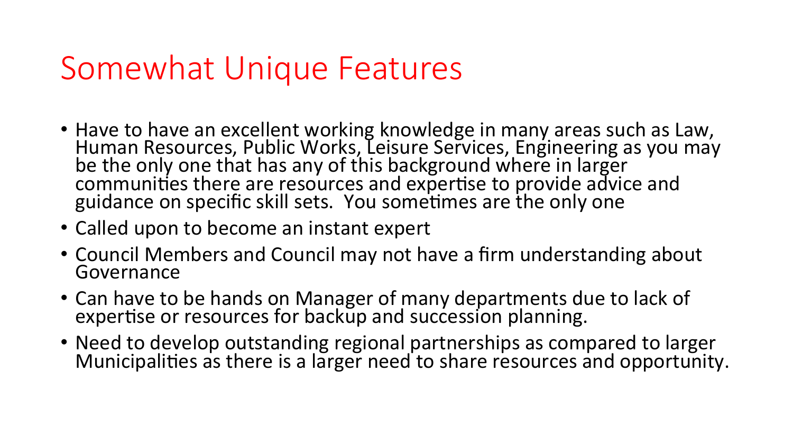#### Somewhat Unique Features

- Have to have an excellent working knowledge in many areas such as Law, Human Resources, Public Works, Leisure Services, Engineering as you may be the only one that has any of this background where in larger communities there are resources and expertise to provide advice and guidance on specific skill sets. You sometimes are the only one
- Called upon to become an instant expert
- Council Members and Council may not have a firm understanding about Governance
- Can have to be hands on Manager of many departments due to lack of expertise or resources for backup and succession planning.
- Need to develop outstanding regional partnerships as compared to larger Municipalities as there is a larger need to share resources and opportunity.